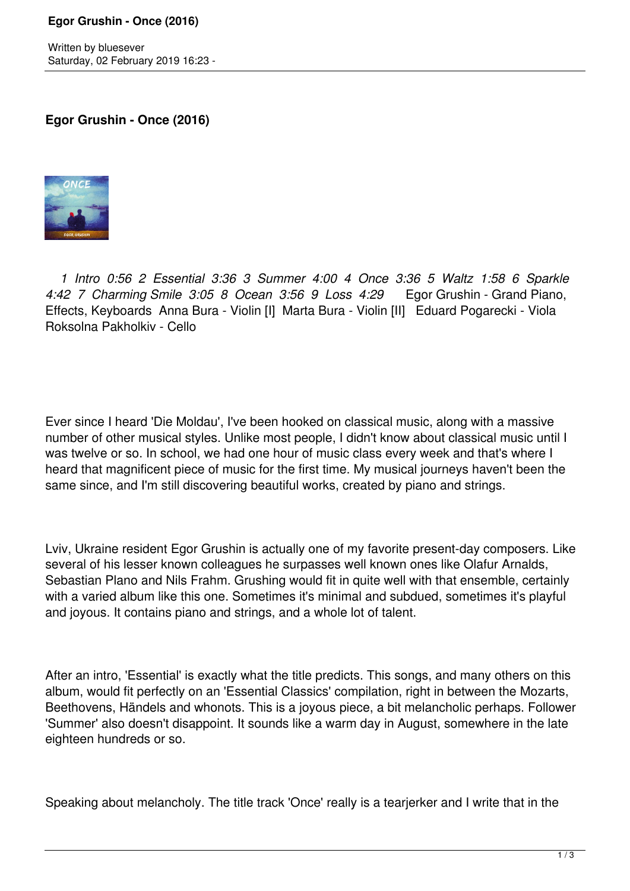Written by bluesever Saturday, 02 February 2019 16:23 -

**Egor Grushin - Once (2016)**



 *1 Intro 0:56 2 Essential 3:36 3 Summer 4:00 4 Once 3:36 5 Waltz 1:58 6 Sparkle 4:42 7 Charming Smile 3:05 8 Ocean 3:56 9 Loss 4:29* Egor Grushin - Grand Piano, Effects, Keyboards Anna Bura - Violin [I] Marta Bura - Violin [II] Eduard Pogarecki - Viola Roksolna Pakholkiv - Cello

Ever since I heard 'Die Moldau', I've been hooked on classical music, along with a massive number of other musical styles. Unlike most people, I didn't know about classical music until I was twelve or so. In school, we had one hour of music class every week and that's where I heard that magnificent piece of music for the first time. My musical journeys haven't been the same since, and I'm still discovering beautiful works, created by piano and strings.

Lviv, Ukraine resident Egor Grushin is actually one of my favorite present-day composers. Like several of his lesser known colleagues he surpasses well known ones like Olafur Arnalds, Sebastian Plano and Nils Frahm. Grushing would fit in quite well with that ensemble, certainly with a varied album like this one. Sometimes it's minimal and subdued, sometimes it's playful and joyous. It contains piano and strings, and a whole lot of talent.

After an intro, 'Essential' is exactly what the title predicts. This songs, and many others on this album, would fit perfectly on an 'Essential Classics' compilation, right in between the Mozarts, Beethovens, Händels and whonots. This is a joyous piece, a bit melancholic perhaps. Follower 'Summer' also doesn't disappoint. It sounds like a warm day in August, somewhere in the late eighteen hundreds or so.

Speaking about melancholy. The title track 'Once' really is a tearjerker and I write that in the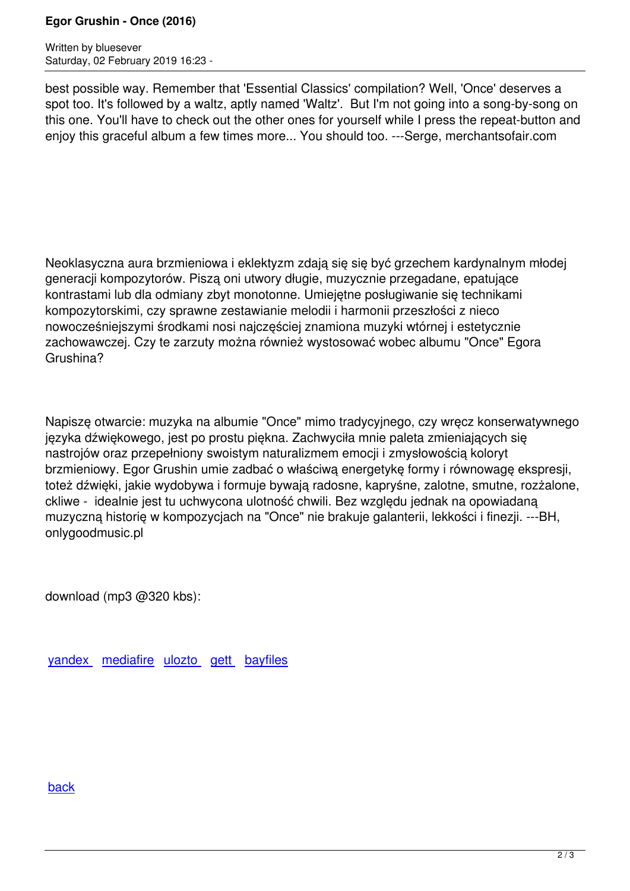Written by blueseverseversels and the blueseversels of the blueseversels and the blueseversels of the bluesever Saturday, 02 February 2019 16:23 -

best possible way. Remember that 'Essential Classics' compilation? Well, 'Once' deserves a spot too. It's followed by a waltz, aptly named 'Waltz'. But I'm not going into a song-by-song on this one. You'll have to check out the other ones for yourself while I press the repeat-button and enjoy this graceful album a few times more... You should too. ---Serge, merchantsofair.com

Neoklasyczna aura brzmieniowa i eklektyzm zdają się się być grzechem kardynalnym młodej generacji kompozytorów. Piszą oni utwory długie, muzycznie przegadane, epatujące kontrastami lub dla odmiany zbyt monotonne. Umiejętne posługiwanie się technikami kompozytorskimi, czy sprawne zestawianie melodii i harmonii przeszłości z nieco nowocześniejszymi środkami nosi najczęściej znamiona muzyki wtórnej i estetycznie zachowawczej. Czy te zarzuty można również wystosować wobec albumu "Once" Egora Grushina?

Napiszę otwarcie: muzyka na albumie "Once" mimo tradycyjnego, czy wręcz konserwatywnego języka dźwiękowego, jest po prostu piękna. Zachwyciła mnie paleta zmieniających się nastrojów oraz przepełniony swoistym naturalizmem emocji i zmysłowością koloryt brzmieniowy. Egor Grushin umie zadbać o właściwą energetykę formy i równowagę ekspresji, toteż dźwięki, jakie wydobywa i formuje bywają radosne, kapryśne, zalotne, smutne, rozżalone, ckliwe - idealnie jest tu uchwycona ulotność chwili. Bez względu jednak na opowiadaną muzyczną historię w kompozycjach na "Once" nie brakuje galanterii, lekkości i finezji. ---BH, onlygoodmusic.pl

download (mp3 @320 kbs):

yandex mediafire ulozto gett bayfiles

## back